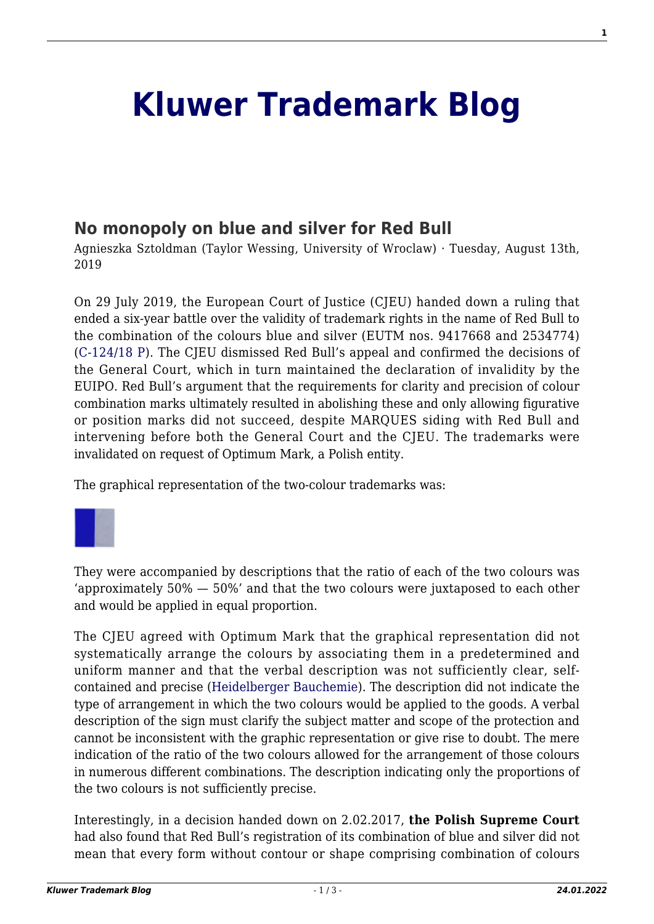## **[Kluwer Trademark Blog](http://trademarkblog.kluweriplaw.com/)**

## **[No monopoly on blue and silver for Red Bull](http://trademarkblog.kluweriplaw.com/2019/08/13/no-monopoly-on-blue-and-silver-for-red-bull/)**

Agnieszka Sztoldman (Taylor Wessing, University of Wroclaw) · Tuesday, August 13th, 2019

On 29 July 2019, the European Court of Justice (CJEU) handed down a ruling that ended a six-year battle over the validity of trademark rights in the name of Red Bull to the combination of the colours blue and silver (EUTM nos. 9417668 and 2534774) ([C‑124/18 P](http://curia.europa.eu/juris/document/document.jsf;jsessionid=A371E91D910519BE92C2973BB85DD551?text=&docid=216554&pageIndex=0&doclang=EN&mode=lst&dir=&occ=first&part=1&cid=6567384)). The CJEU dismissed Red Bull's appeal and confirmed the decisions of the General Court, which in turn maintained the declaration of invalidity by the EUIPO. Red Bull's argument that the requirements for clarity and precision of colour combination marks ultimately resulted in abolishing these and only allowing figurative or position marks did not succeed, despite MARQUES siding with Red Bull and intervening before both the General Court and the CJEU. The trademarks were invalidated on request of Optimum Mark, a Polish entity.

The graphical representation of the two-colour trademarks was:



They were accompanied by descriptions that the ratio of each of the two colours was 'approximately 50% — 50%' and that the two colours were juxtaposed to each other and would be applied in equal proportion.

The CJEU agreed with Optimum Mark that the graphical representation did not systematically arrange the colours by associating them in a predetermined and uniform manner and that the verbal description was not sufficiently clear, selfcontained and precise ([Heidelberger Bauchemie\)](http://curia.europa.eu/juris/document/document.jsf?text=&docid=49315&pageIndex=0&doclang=EN&mode=lst&dir=&occ=first&part=1&cid=6660231). The description did not indicate the type of arrangement in which the two colours would be applied to the goods. A verbal description of the sign must clarify the subject matter and scope of the protection and cannot be inconsistent with the graphic representation or give rise to doubt. The mere indication of the ratio of the two colours allowed for the arrangement of those colours in numerous different combinations. The description indicating only the proportions of the two colours is not sufficiently precise.

Interestingly, in a decision handed down on 2.02.2017, **the Polish Supreme Court** had also found that Red Bull's registration of its combination of blue and silver did not mean that every form without contour or shape comprising combination of colours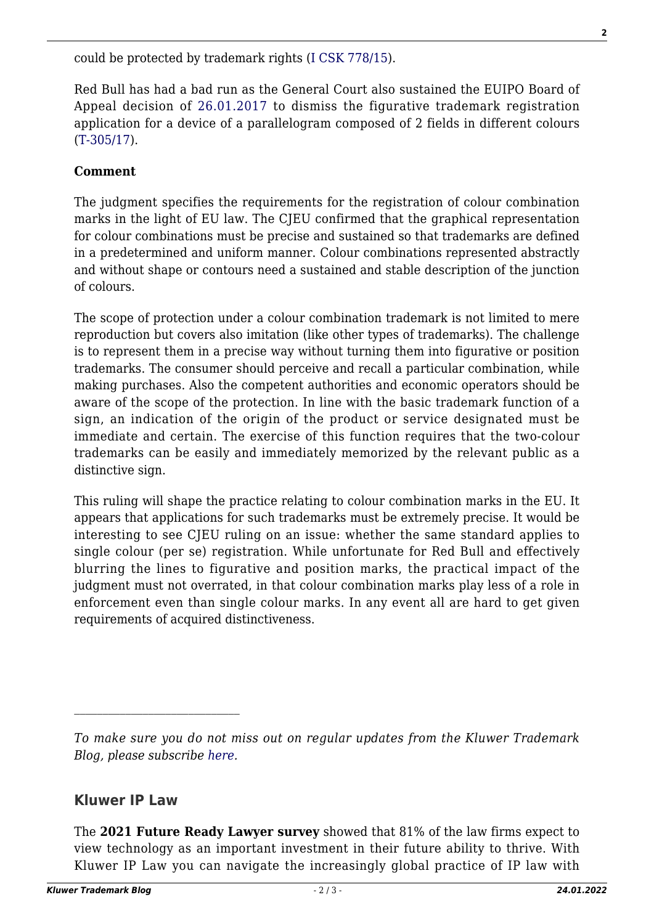could be protected by trademark rights [\(I CSK 778/15](http://www.sn.pl/sites/orzecznictwo/Orzeczenia3/I%20CSK%20778-15-1.pdf)).

Red Bull has had a bad run as the General Court also sustained the EUIPO Board of Appeal decision of [26.01.2017](https://euipo.europa.eu/eSearchCLW/#basic/*///number/2582%2F2015-1) to dismiss the figurative trademark registration application for a device of a parallelogram composed of 2 fields in different colours ([T-305/17\)](http://curia.europa.eu/juris/document/document.jsf?text=&docid=215893&pageIndex=0&doclang=EN&mode=lst&dir=&occ=first&part=1&cid=6596765).

## **Comment**

The judgment specifies the requirements for the registration of colour combination marks in the light of EU law. The CJEU confirmed that the graphical representation for colour combinations must be precise and sustained so that trademarks are defined in a predetermined and uniform manner. Colour combinations represented abstractly and without shape or contours need a sustained and stable description of the junction of colours.

The scope of protection under a colour combination trademark is not limited to mere reproduction but covers also imitation (like other types of trademarks). The challenge is to represent them in a precise way without turning them into figurative or position trademarks. The consumer should perceive and recall a particular combination, while making purchases. Also the competent authorities and economic operators should be aware of the scope of the protection. In line with the basic trademark function of a sign, an indication of the origin of the product or service designated must be immediate and certain. The exercise of this function requires that the two-colour trademarks can be easily and immediately memorized by the relevant public as a distinctive sign.

This ruling will shape the practice relating to colour combination marks in the EU. It appears that applications for such trademarks must be extremely precise. It would be interesting to see CJEU ruling on an issue: whether the same standard applies to single colour (per se) registration. While unfortunate for Red Bull and effectively blurring the lines to figurative and position marks, the practical impact of the judgment must not overrated, in that colour combination marks play less of a role in enforcement even than single colour marks. In any event all are hard to get given requirements of acquired distinctiveness.

## **Kluwer IP Law**

The **2021 Future Ready Lawyer survey** showed that 81% of the law firms expect to view technology as an important investment in their future ability to thrive. With Kluwer IP Law you can navigate the increasingly global practice of IP law with

*To make sure you do not miss out on regular updates from the Kluwer Trademark Blog, please subscribe [here](http://trademarkblog.kluweriplaw.com/newsletter/).*